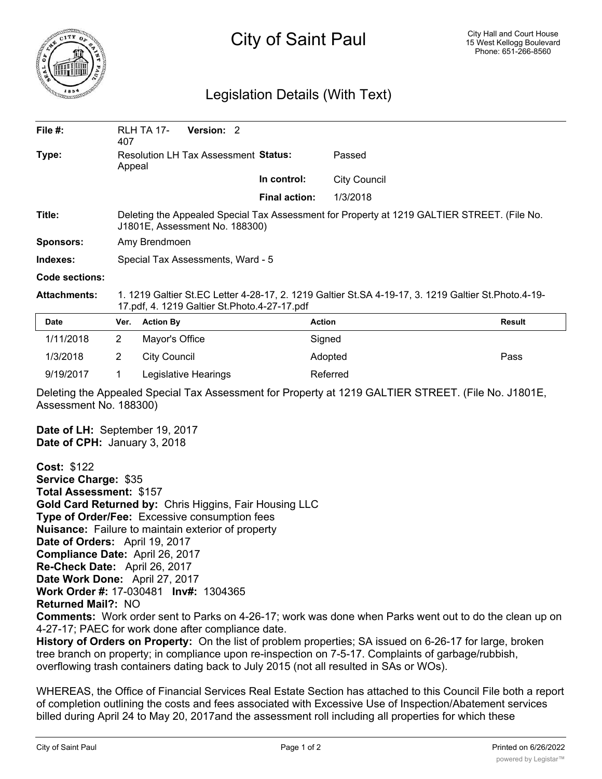

## City of Saint Paul

## Legislation Details (With Text)

| File $#$ :          | 407                                                                                                                                                   | <b>RLH TA 17-</b>   | Version: 2 |  |                      |               |               |
|---------------------|-------------------------------------------------------------------------------------------------------------------------------------------------------|---------------------|------------|--|----------------------|---------------|---------------|
| Type:               | Resolution LH Tax Assessment Status:<br>Appeal                                                                                                        |                     |            |  |                      | Passed        |               |
|                     |                                                                                                                                                       |                     |            |  | In control:          | City Council  |               |
|                     |                                                                                                                                                       |                     |            |  | <b>Final action:</b> | 1/3/2018      |               |
| Title:              | Deleting the Appealed Special Tax Assessment for Property at 1219 GALTIER STREET. (File No.<br>J1801E, Assessment No. 188300)                         |                     |            |  |                      |               |               |
| <b>Sponsors:</b>    | Amy Brendmoen                                                                                                                                         |                     |            |  |                      |               |               |
| Indexes:            | Special Tax Assessments, Ward - 5                                                                                                                     |                     |            |  |                      |               |               |
| Code sections:      |                                                                                                                                                       |                     |            |  |                      |               |               |
| <b>Attachments:</b> | 1. 1219 Galtier St.EC Letter 4-28-17, 2. 1219 Galtier St.SA 4-19-17, 3. 1219 Galtier St.Photo.4-19-<br>17.pdf, 4. 1219 Galtier St. Photo. 4-27-17.pdf |                     |            |  |                      |               |               |
| <b>Date</b>         | Ver.                                                                                                                                                  | <b>Action By</b>    |            |  |                      | <b>Action</b> | <b>Result</b> |
| 1/11/2018           | 2                                                                                                                                                     | Mayor's Office      |            |  |                      | Signed        |               |
| 1/3/2018            | 2                                                                                                                                                     | <b>City Council</b> |            |  |                      | Adopted       | Pass          |

Deleting the Appealed Special Tax Assessment for Property at 1219 GALTIER STREET. (File No. J1801E, Assessment No. 188300)

**Date of LH:** September 19, 2017 **Date of CPH:** January 3, 2018

9/19/2017 1 Legislative Hearings Referred

**Cost:** \$122 **Service Charge:** \$35 **Total Assessment:** \$157 **Gold Card Returned by:** Chris Higgins, Fair Housing LLC **Type of Order/Fee:** Excessive consumption fees **Nuisance:** Failure to maintain exterior of property **Date of Orders:** April 19, 2017 **Compliance Date:** April 26, 2017 **Re-Check Date:** April 26, 2017 **Date Work Done:** April 27, 2017 **Work Order #:** 17-030481 **Inv#:** 1304365 **Returned Mail?:** NO **Comments:** Work order sent to Parks on 4-26-17; work was done when Parks went out to do the clean up on 4-27-17; PAEC for work done after compliance date. **History of Orders on Property:** On the list of problem properties; SA issued on 6-26-17 for large, broken tree branch on property; in compliance upon re-inspection on 7-5-17. Complaints of garbage/rubbish,

overflowing trash containers dating back to July 2015 (not all resulted in SAs or WOs).

WHEREAS, the Office of Financial Services Real Estate Section has attached to this Council File both a report of completion outlining the costs and fees associated with Excessive Use of Inspection/Abatement services billed during April 24 to May 20, 2017and the assessment roll including all properties for which these